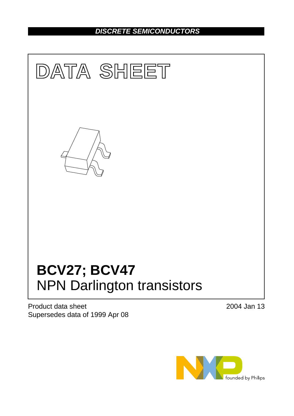# *DISCRETE SEMICONDUCTORS*



Product data sheet Supersedes data of 1999 Apr 08 2004 Jan 13

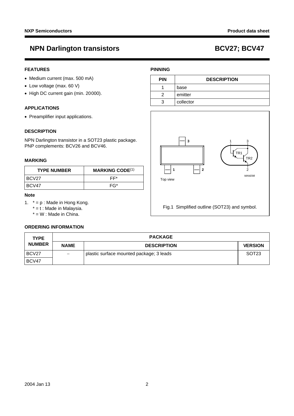### **FEATURES**

- Medium current (max. 500 mA)
- Low voltage (max. 60 V)
- High DC current gain (min. 20000).

### **APPLICATIONS**

• Preamplifier input applications.

### **DESCRIPTION**

NPN Darlington transistor in a SOT23 plastic package. PNP complements: BCV26 and BCV46.

### **MARKING**

| <b>TYPE NUMBER</b> | <b>MARKING CODE</b> <sup>(1)</sup> |
|--------------------|------------------------------------|
| IBCV27             | FF*                                |
| BCV47              | FG*                                |

### **Note**

- <span id="page-1-0"></span>1. \* = p : Made in Hong Kong.
	- $* = t$  : Made in Malaysia.
	- $* = W$  : Made in China.

## **ORDERING INFORMATION**

### **PINNING**

| <b>PIN</b> | <b>DESCRIPTION</b> |  |
|------------|--------------------|--|
|            | base               |  |
|            | emitter            |  |
|            | collector          |  |



| <b>TYPE</b>                  | <b>PACKAGE</b>           |                                          |                   |
|------------------------------|--------------------------|------------------------------------------|-------------------|
| <b>NUMBER</b><br><b>NAME</b> |                          | <b>DESCRIPTION</b>                       | <b>VERSION</b>    |
| BCV27                        | $\overline{\phantom{m}}$ | plastic surface mounted package; 3 leads | SOT <sub>23</sub> |
| BCV47                        |                          |                                          |                   |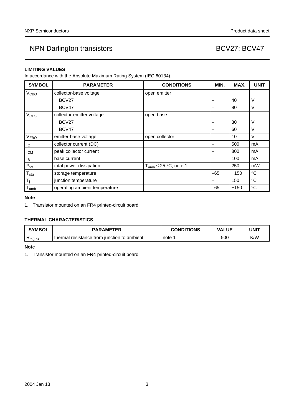## **LIMITING VALUES**

In accordance with the Absolute Maximum Rating System (IEC 60134).

| <b>SYMBOL</b>               | <b>PARAMETER</b>              | <b>CONDITIONS</b>            | MIN.  | MAX.   | <b>UNIT</b>     |
|-----------------------------|-------------------------------|------------------------------|-------|--------|-----------------|
| <b>V<sub>CBO</sub></b>      | collector-base voltage        | open emitter                 |       |        |                 |
|                             | BCV27                         |                              | —     | 40     | V               |
|                             | BCV47                         |                              | -     | 80     | V               |
| <b>V<sub>CES</sub></b>      | collector-emitter voltage     | open base                    |       |        |                 |
|                             | BCV <sub>27</sub>             |                              |       | 30     | V               |
|                             | BCV47                         |                              | —     | 60     | V               |
| <b>VEBO</b>                 | emitter-base voltage          | open collector               |       | 10     | V               |
| $I_{\rm C}$                 | collector current (DC)        |                              | —     | 500    | mA              |
| <b>I</b> <sub>CM</sub>      | peak collector current        |                              |       | 800    | mA              |
| Iв                          | base current                  |                              | —     | 100    | mA              |
| $P_{\text{tot}}$            | total power dissipation       | $T_{amb} \leq 25$ °C; note 1 | -     | 250    | mW              |
| $\mathsf{T}_{\textsf{stg}}$ | storage temperature           |                              | $-65$ | $+150$ | $^{\circ}C$     |
| $\mathsf{T}_{\mathsf{i}}$   | junction temperature          |                              |       | 150    | $\rm ^{\circ}C$ |
| $I_{amb}$                   | operating ambient temperature |                              | $-65$ | $+150$ | $^{\circ}C$     |

### **Note**

<span id="page-2-0"></span>1. Transistor mounted on an FR4 printed-circuit board.

## **THERMAL CHARACTERISTICS**

| <b>SYMBOL</b>   | <b>PARAMETER</b>                            | <b>CONDITIONS</b> | <b>VALUE</b> | UNIT |
|-----------------|---------------------------------------------|-------------------|--------------|------|
| D<br>$Rth(i-a)$ | thermal resistance from junction to ambient | ∴note             | 500          | K/W  |

### **Note**

<span id="page-2-1"></span>1. Transistor mounted on an FR4 printed-circuit board.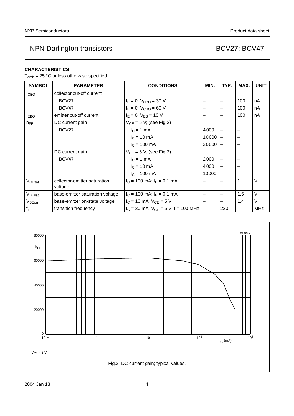### **CHARACTERISTICS**

 $T_{amb}$  = 25 °C unless otherwise specified.

| <b>SYMBOL</b>      | <b>PARAMETER</b>                        | <b>CONDITIONS</b>                          | MIN.                     | TYP.                     | MAX.              | <b>UNIT</b> |
|--------------------|-----------------------------------------|--------------------------------------------|--------------------------|--------------------------|-------------------|-------------|
| $I_{\text{CBO}}$   | collector cut-off current               |                                            |                          |                          |                   |             |
|                    | BCV27                                   | $I_E = 0$ ; $V_{CBO} = 30$ V               |                          |                          | 100               | nA          |
|                    | BCV47                                   | $I_E = 0$ ; $V_{CBO} = 60 V$               | $\overline{\phantom{a}}$ | —                        | 100               | nA          |
| <b>I</b> EBO       | emitter cut-off current                 | $I_E = 0$ ; $V_{EB} = 10 V$                | $\overline{\phantom{0}}$ |                          | 100               | nA          |
| $h_{FE}$           | DC current gain                         | $V_{CE} = 5 V$ ; (see Fig.2)               |                          |                          |                   |             |
|                    | BCV27                                   | $IC = 1 mA$                                | 4000                     |                          |                   |             |
|                    |                                         | $I_C = 10$ mA                              | 10000                    |                          |                   |             |
|                    |                                         | $I_C = 100 \text{ mA}$                     | 20000                    | -                        |                   |             |
|                    | DC current gain                         | $V_{CE} = 5 V$ ; (see Fig.2)               |                          |                          |                   |             |
|                    | BCV47                                   | $I_C = 1$ mA                               | 2000                     |                          |                   |             |
|                    |                                         | $IC = 10 mA$                               | 4000                     | $\overline{\phantom{0}}$ |                   |             |
|                    |                                         | $I_C = 100 \text{ mA}$                     | 10000                    | $\overline{\phantom{0}}$ |                   |             |
| $V_{CEsat}$        | collector-emitter saturation<br>voltage | $I_C = 100$ mA; $I_B = 0.1$ mA             | $\overline{\phantom{0}}$ |                          | $\mathbf{1}$      | $\vee$      |
| $V_{\text{BEsat}}$ | base-emitter saturation voltage         | $I_C = 100$ mA; $I_B = 0.1$ mA             | $\overline{\phantom{m}}$ |                          | 1.5               | $\vee$      |
| V <sub>BEon</sub>  | base-emitter on-state voltage           | $I_C = 10$ mA; $V_{CE} = 5$ V              | $\overline{\phantom{a}}$ |                          | 1.4               | V           |
| $f_{\rm T}$        | transition frequency                    | $I_C$ = 30 mA; $V_{CE}$ = 5 V; f = 100 MHz | $\overline{\phantom{m}}$ | 220                      | $\qquad \qquad -$ | <b>MHz</b>  |

<span id="page-3-0"></span>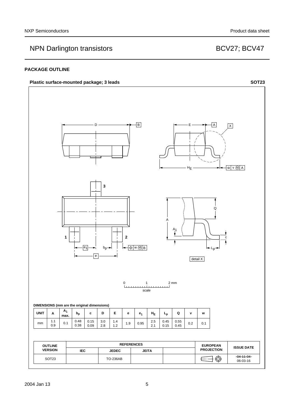### **PACKAGE OUTLINE**

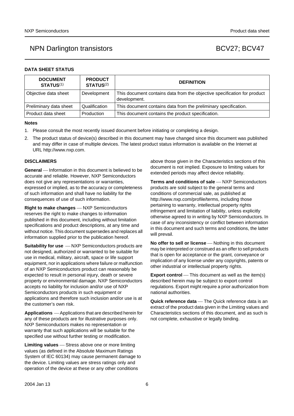### **DATA SHEET STATUS**

| <b>DOCUMENT</b><br><b>STATUS(1)</b> | <b>PRODUCT</b><br><b>STATUS(2)</b> | <b>DEFINITION</b>                                                                        |
|-------------------------------------|------------------------------------|------------------------------------------------------------------------------------------|
| Objective data sheet                | Development                        | This document contains data from the objective specification for product<br>development. |
| Preliminary data sheet              | Qualification                      | This document contains data from the preliminary specification.                          |
| Product data sheet                  | Production                         | This document contains the product specification.                                        |

### **Notes**

- <span id="page-5-0"></span>1. Please consult the most recently issued document before initiating or completing a design.
- <span id="page-5-1"></span>2. The product status of device(s) described in this document may have changed since this document was published and may differ in case of multiple devices. The latest product status information is available on the Internet at URL http://www.nxp.com.

### **DISCLAIMERS**

**General** — Information in this document is believed to be accurate and reliable. However, NXP Semiconductors does not give any representations or warranties, expressed or implied, as to the accuracy or completeness of such information and shall have no liability for the consequences of use of such information.

**Right to make changes** - NXP Semiconductors reserves the right to make changes to information published in this document, including without limitation specifications and product descriptions, at any time and without notice. This document supersedes and replaces all information supplied prior to the publication hereof.

**Suitability for use**  $-MXP$  Semiconductors products are not designed, authorized or warranted to be suitable for use in medical, military, aircraft, space or life support equipment, nor in applications where failure or malfunction of an NXP Semiconductors product can reasonably be expected to result in personal injury, death or severe property or environmental damage. NXP Semiconductors accepts no liability for inclusion and/or use of NXP Semiconductors products in such equipment or applications and therefore such inclusion and/or use is at the customer's own risk.

**Applications** ⎯ Applications that are described herein for any of these products are for illustrative purposes only. NXP Semiconductors makes no representation or warranty that such applications will be suitable for the specified use without further testing or modification.

**Limiting values** – Stress above one or more limiting values (as defined in the Absolute Maximum Ratings System of IEC 60134) may cause permanent damage to the device. Limiting values are stress ratings only and operation of the device at these or any other conditions

above those given in the Characteristics sections of this document is not implied. Exposure to limiting values for extended periods may affect device reliability.

**Terms and conditions of sale** – NXP Semiconductors products are sold subject to the general terms and conditions of commercial sale, as published at http://www.nxp.com/profile/terms, including those pertaining to warranty, intellectual property rights infringement and limitation of liability, unless explicitly [otherwise agreed to in writing by NXP Semiconductors. In](http://www.nxp.com/profile/terms)  case of any inconsistency or conflict between information in this document and such terms and conditions, the latter will prevail.

**No offer to sell or license** – Nothing in this document may be interpreted or construed as an offer to sell products that is open for acceptance or the grant, conveyance or implication of any license under any copyrights, patents or other industrial or intellectual property rights.

**Export control** — This document as well as the item(s) described herein may be subject to export control regulations. Export might require a prior authorization from national authorities.

**Quick reference data** - The Quick reference data is an extract of the product data given in the Limiting values and Characteristics sections of this document, and as such is not complete, exhaustive or legally binding.